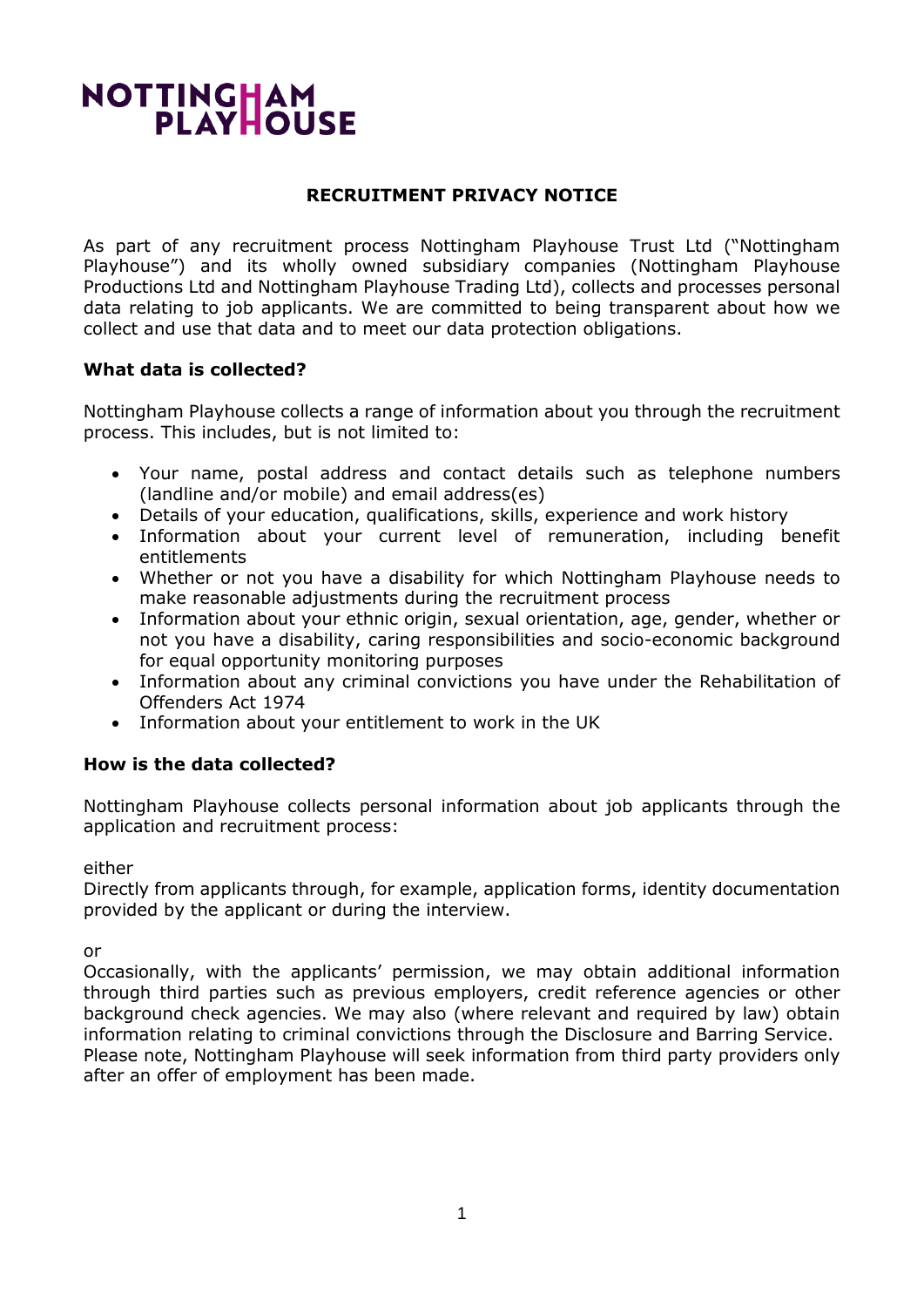# NOTTINGHAM<br>PLAYHOUSE

## **RECRUITMENT PRIVACY NOTICE**

As part of any recruitment process Nottingham Playhouse Trust Ltd ("Nottingham Playhouse") and its wholly owned subsidiary companies (Nottingham Playhouse Productions Ltd and Nottingham Playhouse Trading Ltd), collects and processes personal data relating to job applicants. We are committed to being transparent about how we collect and use that data and to meet our data protection obligations.

## **What data is collected?**

Nottingham Playhouse collects a range of information about you through the recruitment process. This includes, but is not limited to:

- Your name, postal address and contact details such as telephone numbers (landline and/or mobile) and email address(es)
- Details of your education, qualifications, skills, experience and work history
- Information about your current level of remuneration, including benefit entitlements
- Whether or not you have a disability for which Nottingham Playhouse needs to make reasonable adjustments during the recruitment process
- Information about your ethnic origin, sexual orientation, age, gender, whether or not you have a disability, caring responsibilities and socio-economic background for equal opportunity monitoring purposes
- Information about any criminal convictions you have under the Rehabilitation of Offenders Act 1974
- Information about your entitlement to work in the UK

# **How is the data collected?**

Nottingham Playhouse collects personal information about job applicants through the application and recruitment process:

either

Directly from applicants through, for example, application forms, identity documentation provided by the applicant or during the interview.

or

Occasionally, with the applicants' permission, we may obtain additional information through third parties such as previous employers, credit reference agencies or other background check agencies. We may also (where relevant and required by law) obtain information relating to criminal convictions through the Disclosure and Barring Service. Please note, Nottingham Playhouse will seek information from third party providers only after an offer of employment has been made.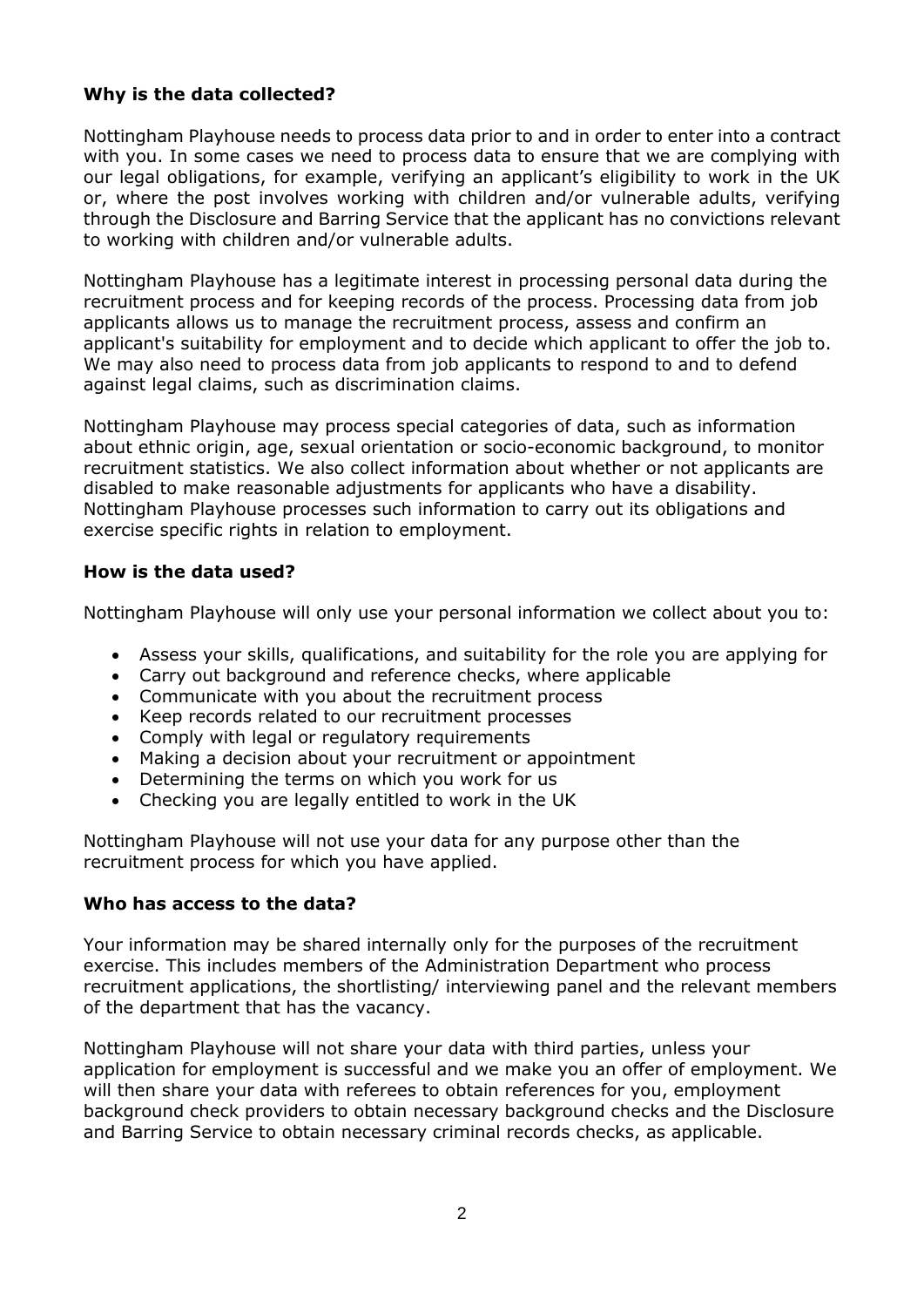# **Why is the data collected?**

Nottingham Playhouse needs to process data prior to and in order to enter into a contract with you. In some cases we need to process data to ensure that we are complying with our legal obligations, for example, verifying an applicant's eligibility to work in the UK or, where the post involves working with children and/or vulnerable adults, verifying through the Disclosure and Barring Service that the applicant has no convictions relevant to working with children and/or vulnerable adults.

Nottingham Playhouse has a legitimate interest in processing personal data during the recruitment process and for keeping records of the process. Processing data from job applicants allows us to manage the recruitment process, assess and confirm an applicant's suitability for employment and to decide which applicant to offer the job to. We may also need to process data from job applicants to respond to and to defend against legal claims, such as discrimination claims.

Nottingham Playhouse may process special categories of data, such as information about ethnic origin, age, sexual orientation or socio-economic background, to monitor recruitment statistics. We also collect information about whether or not applicants are disabled to make reasonable adjustments for applicants who have a disability. Nottingham Playhouse processes such information to carry out its obligations and exercise specific rights in relation to employment.

### **How is the data used?**

Nottingham Playhouse will only use your personal information we collect about you to:

- Assess your skills, qualifications, and suitability for the role you are applying for
- Carry out background and reference checks, where applicable
- Communicate with you about the recruitment process
- Keep records related to our recruitment processes
- Comply with legal or regulatory requirements
- Making a decision about your recruitment or appointment
- Determining the terms on which you work for us
- Checking you are legally entitled to work in the UK

Nottingham Playhouse will not use your data for any purpose other than the recruitment process for which you have applied.

### **Who has access to the data?**

Your information may be shared internally only for the purposes of the recruitment exercise. This includes members of the Administration Department who process recruitment applications, the shortlisting/ interviewing panel and the relevant members of the department that has the vacancy.

Nottingham Playhouse will not share your data with third parties, unless your application for employment is successful and we make you an offer of employment. We will then share your data with referees to obtain references for you, employment background check providers to obtain necessary background checks and the Disclosure and Barring Service to obtain necessary criminal records checks, as applicable.